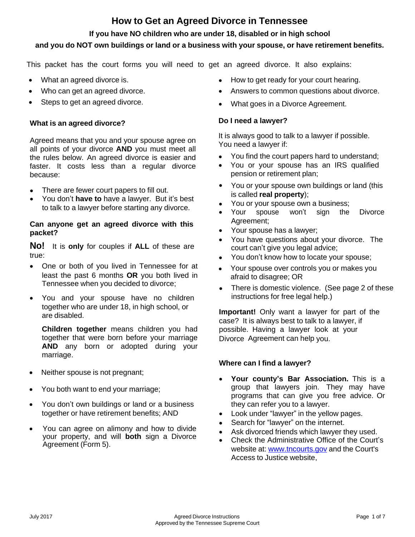# **How to Get an Agreed Divorce in Tennessee**

# **If you have NO children who are under 18, disabled or in high school**

# **and you do NOT own buildings or land or a business with your spouse, or have retirement benefits.**

This packet has the court forms you will need to get an agreed divorce. It also explains:

- What an agreed divorce is.
- Who can get an agreed divorce.
- Steps to get an agreed divorce.

# **What is an agreed divorce?**

Agreed means that you and your spouse agree on all points of your divorce **AND** you must meet all the rules below. An agreed divorce is easier and faster. It costs less than a regular divorce because:

- There are fewer court papers to fill out.
- You don't **have to** have a lawyer. But it's best to talk to a lawyer before starting any divorce.

#### **Can anyone get an agreed divorce with this packet?**

**No!** It is **only** for couples if **ALL** of these are true:

- One or both of you lived in Tennessee for at least the past 6 months **OR** you both lived in Tennessee when you decided to divorce;
- You and your spouse have no children together who are under 18, in high school, or are disabled.

**Children together** means children you had together that were born before your marriage **AND** any born or adopted during your marriage.

- Neither spouse is not pregnant;
- You both want to end your marriage;
- You don't own buildings or land or a business together or have retirement benefits; AND
- You can agree on alimony and how to divide your property, and will **both** sign a Divorce Agreement (Form 5).
- How to get ready for your court hearing.
- Answers to common questions about divorce.
- What goes in a Divorce Agreement.

# **Do I need a lawyer?**

It is always good to talk to a lawyer if possible. You need a lawyer if:

- You find the court papers hard to understand;
- You or your spouse has an IRS qualified pension or retirement plan;
- You or your spouse own buildings or land (this is called **real property**);
- You or your spouse own a business;<br>Your spouse won't sign the
- won't sign the Divorce Agreement;
- Your spouse has a lawyer;
- You have questions about your divorce. The court can't give you legal advice;
- You don't know how to locate your spouse;
- Your spouse over controls you or makes you afraid to disagree; OR
- There is domestic violence. (See page 2 of these instructions for free legal help.)

**Important!** Only want a lawyer for part of the case? It is always best to talk to a lawyer, if possible. Having a lawyer look at your Divorce Agreement can help you.

#### **Where can I find a lawyer?**

- **Your county's Bar Association.** This is a group that lawyers join. They may have programs that can give you free advice. Or they can refer you to a lawyer.
- Look under "lawyer" in the yellow pages.
- Search for "lawyer" on the internet.
- Ask divorced friends which lawyer they used.
- Check the Administrative Office of the Court's website at: [www.tncourts.gov](http://www.tncourts.gov/) and the Court's Access to Justice website,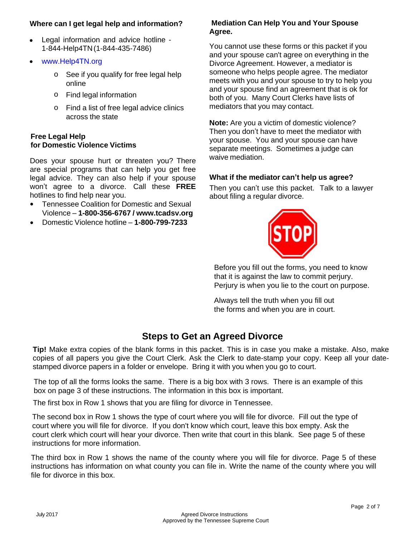# **Where can I get legal help and information?**

- Legal information and advice hotline 1-844-Help4TN(1-844-435-7486)
- [www.Help4TN.org](http://www.Help4TN.org/)
	- o See if you qualify for free legal help online
	- o Find legal information
	- o Find a list of free legal advice clinics across the state

# **Free Legal Help for Domestic Violence Victims**

Does your spouse hurt or threaten you? There are special programs that can help you get free legal advice. They can also help if your spouse won't agree to a divorce. Call these **FREE** hotlines to find help near you.

- Tennessee Coalition for Domestic and Sexual Violence – **1-800-356-6767 / [www.tcadsv.org](http://www.tcadsv.org/)**
- Domestic Violence hotline **1-800-799-7233**

# **Mediation Can Help You and Your Spouse Agree.**

You cannot use these forms or this packet if you and your spouse can't agree on everything in the Divorce Agreement. However, a mediator is someone who helps people agree. The mediator meets with you and your spouse to try to help you and your spouse find an agreement that is ok for both of you. Many Court Clerks have lists of mediators that you may contact.

**Note:** Are you a victim of domestic violence? Then you don't have to meet the mediator with your spouse. You and your spouse can have separate meetings. Sometimes a judge can waive mediation.

# **What if the mediator can't help us agree?**

Then you can't use this packet. Talk to a lawyer about filing a regular divorce.



Before you fill out the forms, you need to know that it is against the law to commit perjury. Perjury is when you lie to the court on purpose.

Always tell the truth when you fill out the forms and when you are in court.

# **Steps to Get an Agreed Divorce**

**Tip!** Make extra copies of the blank forms in this packet. This is in case you make a mistake. Also, make copies of all papers you give the Court Clerk. Ask the Clerk to date-stamp your copy. Keep all your datestamped divorce papers in a folder or envelope. Bring it with you when you go to court.

The top of all the forms looks the same. There is a big box with 3 rows. There is an example of this box on page 3 of these instructions. The information in this box is important.

The first box in Row 1 shows that you are filing for divorce in Tennessee.

The second box in Row 1 shows the type of court where you will file for divorce. Fill out the type of court where you will file for divorce. If you don't know which court, leave this box empty. Ask the court clerk which court will hear your divorce. Then write that court in this blank. See page 5 of these instructions for more information.

The third box in Row 1 shows the name of the county where you will file for divorce. Page 5 of these instructions has information on what county you can file in. Write the name of the county where you will file for divorce in this box.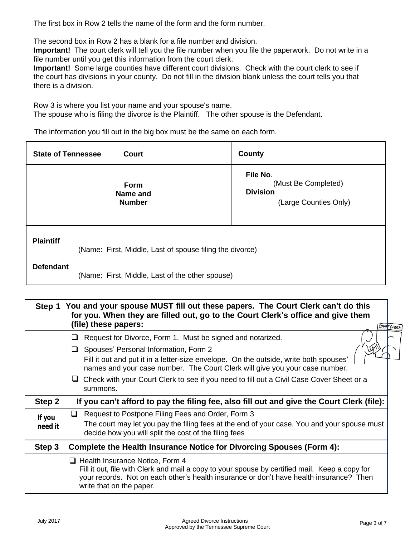The first box in Row 2 tells the name of the form and the form number.

The second box in Row 2 has a blank for a file number and division.

**Important!** The court clerk will tell you the file number when you file the paperwork. Do not write in a file number until you get this information from the court clerk.

**Important!** Some large counties have different court divisions. Check with the court clerk to see if the court has divisions in your county. Do not fill in the division blank unless the court tells you that there is a division.

Row 3 is where you list your name and your spouse's name. The spouse who is filing the divorce is the Plaintiff. The other spouse is the Defendant.

The information you fill out in the big box must be the same on each form.

| <b>State of Tennessee</b> | Court                                                    | County                                                                      |  |  |
|---------------------------|----------------------------------------------------------|-----------------------------------------------------------------------------|--|--|
|                           | <b>Form</b><br>Name and<br><b>Number</b>                 | File No.<br>(Must Be Completed)<br><b>Division</b><br>(Large Counties Only) |  |  |
| <b>Plaintiff</b>          | (Name: First, Middle, Last of spouse filing the divorce) |                                                                             |  |  |
| <b>Defendant</b>          | (Name: First, Middle, Last of the other spouse)          |                                                                             |  |  |

| Step 1  | You and your spouse MUST fill out these papers. The Court Clerk can't do this<br>for you. When they are filled out, go to the Court Clerk's office and give them<br>(file) these papers:                                                                        |
|---------|-----------------------------------------------------------------------------------------------------------------------------------------------------------------------------------------------------------------------------------------------------------------|
|         | COURT CLERK                                                                                                                                                                                                                                                     |
|         | Request for Divorce, Form 1. Must be signed and notarized.                                                                                                                                                                                                      |
|         | $\Box$ Spouses' Personal Information, Form 2<br>Fill it out and put it in a letter-size envelope. On the outside, write both spouses'                                                                                                                           |
|         | names and your case number. The Court Clerk will give you your case number.                                                                                                                                                                                     |
|         | □ Check with your Court Clerk to see if you need to fill out a Civil Case Cover Sheet or a<br>summons.                                                                                                                                                          |
| Step 2  | If you can't afford to pay the filing fee, also fill out and give the Court Clerk (file):                                                                                                                                                                       |
| If you  | Request to Postpone Filing Fees and Order, Form 3<br>ப                                                                                                                                                                                                          |
| need it | The court may let you pay the filing fees at the end of your case. You and your spouse must<br>decide how you will split the cost of the filing fees                                                                                                            |
| Step 3  | Complete the Health Insurance Notice for Divorcing Spouses (Form 4):                                                                                                                                                                                            |
|         | $\Box$ Health Insurance Notice, Form 4<br>Fill it out, file with Clerk and mail a copy to your spouse by certified mail. Keep a copy for<br>your records. Not on each other's health insurance or don't have health insurance? Then<br>write that on the paper. |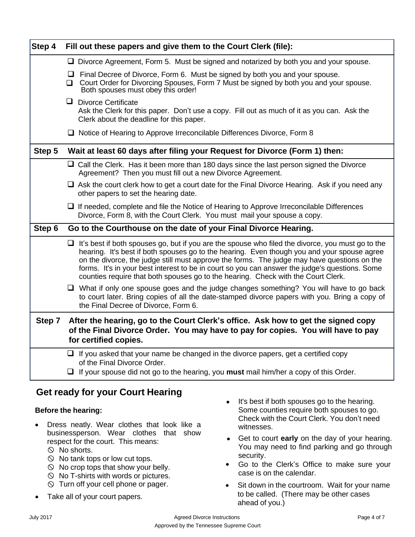| Step 4 | Fill out these papers and give them to the Court Clerk (file):                                                                                                                                                                                                                                                                                                                                                                                                                                |
|--------|-----------------------------------------------------------------------------------------------------------------------------------------------------------------------------------------------------------------------------------------------------------------------------------------------------------------------------------------------------------------------------------------------------------------------------------------------------------------------------------------------|
|        | $\Box$ Divorce Agreement, Form 5. Must be signed and notarized by both you and your spouse.                                                                                                                                                                                                                                                                                                                                                                                                   |
|        | $\Box$ Final Decree of Divorce, Form 6. Must be signed by both you and your spouse.<br>□ Court Order for Divorcing Spouses, Form 7 Must be signed by both you and your spouse.<br>Both spouses must obey this order!                                                                                                                                                                                                                                                                          |
|        | $\Box$ Divorce Certificate<br>Ask the Clerk for this paper. Don't use a copy. Fill out as much of it as you can. Ask the<br>Clerk about the deadline for this paper.                                                                                                                                                                                                                                                                                                                          |
|        | □ Notice of Hearing to Approve Irreconcilable Differences Divorce, Form 8                                                                                                                                                                                                                                                                                                                                                                                                                     |
| Step 5 | Wait at least 60 days after filing your Request for Divorce (Form 1) then:                                                                                                                                                                                                                                                                                                                                                                                                                    |
|        | $\Box$ Call the Clerk. Has it been more than 180 days since the last person signed the Divorce<br>Agreement? Then you must fill out a new Divorce Agreement.                                                                                                                                                                                                                                                                                                                                  |
|        | $\Box$ Ask the court clerk how to get a court date for the Final Divorce Hearing. Ask if you need any<br>other papers to set the hearing date.                                                                                                                                                                                                                                                                                                                                                |
|        | $\Box$ If needed, complete and file the Notice of Hearing to Approve Irreconcilable Differences<br>Divorce, Form 8, with the Court Clerk. You must mail your spouse a copy.                                                                                                                                                                                                                                                                                                                   |
| Step 6 | Go to the Courthouse on the date of your Final Divorce Hearing.                                                                                                                                                                                                                                                                                                                                                                                                                               |
|        | $\Box$ It's best if both spouses go, but if you are the spouse who filed the divorce, you must go to the<br>hearing. It's best if both spouses go to the hearing. Even though you and your spouse agree<br>on the divorce, the judge still must approve the forms. The judge may have questions on the<br>forms. It's in your best interest to be in court so you can answer the judge's questions. Some<br>counties require that both spouses go to the hearing. Check with the Court Clerk. |
|        | $\Box$ What if only one spouse goes and the judge changes something? You will have to go back<br>to court later. Bring copies of all the date-stamped divorce papers with you. Bring a copy of<br>the Final Decree of Divorce, Form 6.                                                                                                                                                                                                                                                        |
| Step 7 | After the hearing, go to the Court Clerk's office. Ask how to get the signed copy<br>of the Final Divorce Order. You may have to pay for copies. You will have to pay<br>for certified copies.                                                                                                                                                                                                                                                                                                |
|        | $\Box$ If you asked that your name be changed in the divorce papers, get a certified copy<br>of the Final Divorce Order.<br>$\Box$ If your spouse did not go to the hearing, you must mail him/her a copy of this Order.                                                                                                                                                                                                                                                                      |

# **Get ready for your Court Hearing**

#### **Before the hearing:**

- Dress neatly. Wear clothes that look like a businessperson. Wear clothes that show respect for the court. This means:
	- $\circledcirc$  No shorts.
	- $\circledcirc$  No tank tops or low cut tops.
	- $\Diamond$  No crop tops that show your belly.
	- $\circledcirc$  No T-shirts with words or pictures.
	- $\circledcirc$  Turn off your cell phone or pager.
- Take all of your court papers.
- It's best if both spouses go to the hearing. Some counties require both spouses to go. Check with the Court Clerk. You don't need witnesses.
- Get to court **early** on the day of your hearing. You may need to find parking and go through security.
- Go to the Clerk's Office to make sure your case is on the calendar.
- Sit down in the courtroom. Wait for your name to be called. (There may be other cases ahead of you.)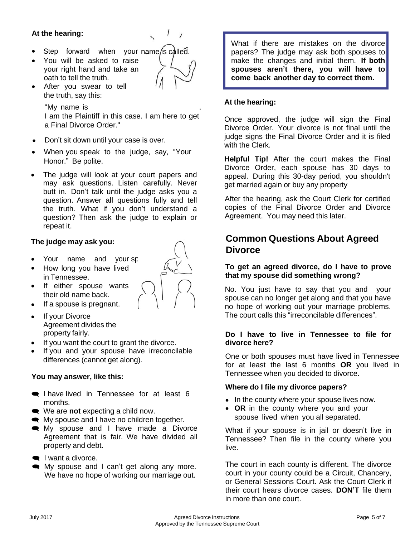# **At the hearing:**



- Step forward when your name/is called.
- You will be asked to raise your right hand and take an oath to tell the truth.



 After you swear to tell the truth, say this:

"My name is

I am the Plaintiff in this case. I am here to get a Final Divorce Order."

- Don't sit down until your case is over.
- When you speak to the judge, say, "Your Honor." Be polite.
- The judge will look at your court papers and may ask questions. Listen carefully. Never butt in. Don't talk until the judge asks you a question. Answer all questions fully and tell the truth. What if you don't understand a question? Then ask the judge to explain or repeat it.

# **The judge may ask you:**

- Your name and your spouse
- How long you have lived in Tennessee.
- If either spouse wants their old name back.
- $\bullet$  If a spouse is pregnant.
- If your Divorce Agreement divides the property fairly.
- If you want the court to grant the divorce.
- If you and your spouse have irreconcilable differences (cannot get along).

#### **You may answer, like this:**

- I have lived in Tennessee for at least 6 months.
- We are **not** expecting a child now.
- **Wy spouse and I have no children together.**
- **Why spouse and I have made a Divorce** Agreement that is fair. We have divided all property and debt.
- I want a divorce.
- **Wy spouse and I can't get along any more.** We have no hope of working our marriage out.

What if there are mistakes on the divorce papers? The judge may ask both spouses to make the changes and initial them. **If both spouses aren't there, you will have to come back another day to correct them.**

#### **At the hearing:**

Once approved, the judge will sign the Final Divorce Order. Your divorce is not final until the judge signs the Final Divorce Order and it is filed with the Clerk.

**Helpful Tip!** After the court makes the Final Divorce Order, each spouse has 30 days to appeal. During this 30-day period, you shouldn't get married again or buy any property

After the hearing, ask the Court Clerk for certified copies of the Final Divorce Order and Divorce Agreement. You may need this later.

# **Common Questions About Agreed Divorce**

## **To get an agreed divorce, do I have to prove that my spouse did something wrong?**

No. You just have to say that you and your spouse can no longer get along and that you have no hope of working out your marriage problems. The court calls this "irreconcilable differences".

#### **Do I have to live in Tennessee to file for divorce here?**

One or both spouses must have lived in Tennessee for at least the last 6 months **OR** you lived in Tennessee when you decided to divorce.

#### **Where do I file my divorce papers?**

- In the county where your spouse lives now.
- **OR** in the county where you and your spouse lived when you all separated.

What if your spouse is in jail or doesn't live in Tennessee? Then file in the county where you live.

The court in each county is different. The divorce court in your county could be a Circuit, Chancery, or General Sessions Court. Ask the Court Clerk if their court hears divorce cases. **DON'T** file them in more than one court.

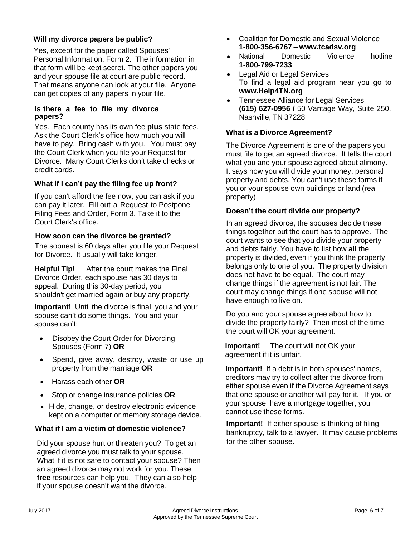# **Will my divorce papers be public?**

Yes, except for the paper called Spouses' Personal Information, Form 2. The information in that form will be kept secret. The other papers you and your spouse file at court are public record. That means anyone can look at your file. Anyone can get copies of any papers in your file.

#### **Is there a fee to file my divorce papers?**

Yes. Each county has its own fee **plus** state fees. Ask the Court Clerk's office how much you will have to pay. Bring cash with you. You must pay the Court Clerk when you file your Request for Divorce. Many Court Clerks don't take checks or credit cards.

# **What if I can't pay the filing fee up front?**

If you can't afford the fee now, you can ask if you can pay it later. Fill out a Request to Postpone Filing Fees and Order, Form 3. Take it to the Court Clerk's office.

#### **How soon can the divorce be granted?**

The soonest is 60 days after you file your Request for Divorce. It usually will take longer.

**Helpful Tip!** After the court makes the Final Divorce Order, each spouse has 30 days to appeal. During this 30-day period, you shouldn't get married again or buy any property.

**Important!** Until the divorce is final, you and your spouse can't do some things. You and your spouse can't:

- Disobey the Court Order for Divorcing Spouses (Form 7) **OR**
- Spend, give away, destroy, waste or use up property from the marriage **OR**
- Harass each other **OR**
- Stop or change insurance policies **OR**
- Hide, change, or destroy electronic evidence kept on a computer or memory storage device.

#### **What if I am a victim of domestic violence?**

Did your spouse hurt or threaten you? To get an agreed divorce you must talk to your spouse. What if it is not safe to contact your spouse? Then an agreed divorce may not work for you. These **free** resources can help you. They can also help if your spouse doesn't want the divorce.

- Coalition for Domestic and Sexual Violence **1-800-356-6767** – **[www.tcadsv.org](http://www.tcadsv.org/)**
- National Domestic Violence hotline **1-800-799-7233**
- Legal Aid or Legal Services To find a legal aid program near you go to **[www.Help4TN.org](http://www.Help4TN.org/)**
- Tennessee Alliance for Legal Services **(615) 627-0956 /** 50 Vantage Way, Suite 250, Nashville, TN 37228

# **What is a Divorce Agreement?**

The Divorce Agreement is one of the papers you must file to get an agreed divorce. It tells the court what you and your spouse agreed about alimony. It says how you will divide your money, personal property and debts. You can't use these forms if you or your spouse own buildings or land (real property).

#### **Doesn't the court divide our property?**

In an agreed divorce, the spouses decide these things together but the court has to approve. The court wants to see that you divide your property and debts fairly. You have to list how **all** the property is divided, even if you think the property belongs only to one of you. The property division does not have to be equal. The court may change things if the agreement is not fair. The court may change things if one spouse will not have enough to live on.

Do you and your spouse agree about how to divide the property fairly? Then most of the time the court will OK your agreement.

**Important!** The court will not OK your agreement if it is unfair.

**Important!** If a debt is in both spouses' names, creditors may try to collect after the divorce from either spouse even if the Divorce Agreement says that one spouse or another will pay for it. If you or your spouse have a mortgage together, you cannot use these forms.

**Important!** If either spouse is thinking of filing bankruptcy, talk to a lawyer. It may cause problems for the other spouse.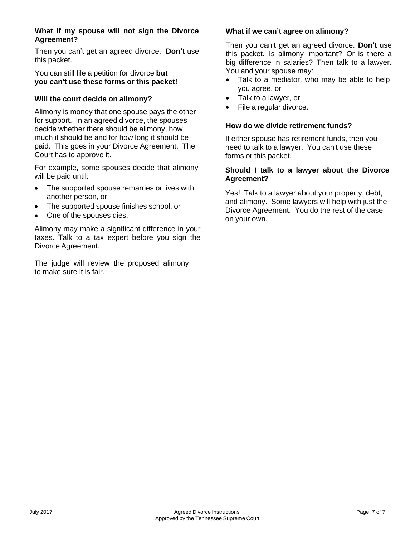### **What if my spouse will not sign the Divorce Agreement?**

Then you can't get an agreed divorce. **Don't** use this packet.

You can still file a petition for divorce **but you can't use these forms or this packet!**

#### **Will the court decide on alimony?**

Alimony is money that one spouse pays the other for support. In an agreed divorce, the spouses decide whether there should be alimony, how much it should be and for how long it should be paid. This goes in your Divorce Agreement. The Court has to approve it.

For example, some spouses decide that alimony will be paid until:

- The supported spouse remarries or lives with another person, or
- The supported spouse finishes school, or
- One of the spouses dies.

Alimony may make a significant difference in your taxes. Talk to a tax expert before you sign the Divorce Agreement.

The judge will review the proposed alimony to make sure it is fair.

## **What if we can't agree on alimony?**

Then you can't get an agreed divorce. **Don't** use this packet. Is alimony important? Or is there a big difference in salaries? Then talk to a lawyer. You and your spouse may:

- Talk to a mediator, who may be able to help you agree, or
- Talk to a lawyer, or
- File a regular divorce.

#### **How do we divide retirement funds?**

If either spouse has retirement funds, then you need to talk to a lawyer. You can't use these forms or this packet.

#### **Should I talk to a lawyer about the Divorce Agreement?**

Yes! Talk to a lawyer about your property, debt, and alimony. Some lawyers will help with just the Divorce Agreement. You do the rest of the case on your own.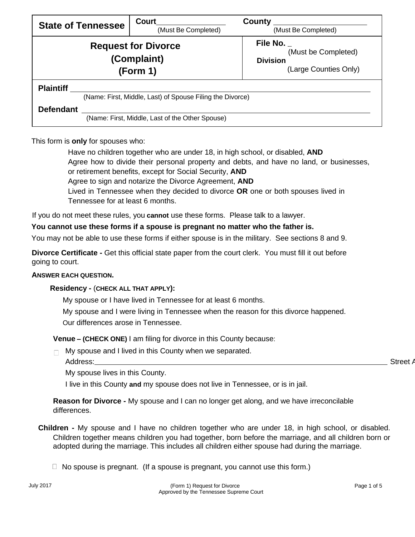| <b>State of Tennessee</b>                             | <b>Court</b><br>(Must Be Completed)                                                                          | County<br>(Must Be Completed)                                               |  |
|-------------------------------------------------------|--------------------------------------------------------------------------------------------------------------|-----------------------------------------------------------------------------|--|
| <b>Request for Divorce</b><br>(Complaint)<br>(Form 1) |                                                                                                              | File No.<br>(Must be Completed)<br><b>Division</b><br>(Large Counties Only) |  |
| <b>Plaintiff</b><br><b>Defendant</b>                  | (Name: First, Middle, Last) of Spouse Filing the Divorce)<br>(Name: First, Middle, Last of the Other Spouse) |                                                                             |  |

This form is **only** for spouses who:

Have no children together who are under 18, in high school, or disabled, **AND** Agree how to divide their personal property and debts, and have no land, or businesses, or retirement benefits, except for Social Security, **AND** Agree to sign and notarize the Divorce Agreement, **AND** Lived in Tennessee when they decided to divorce **OR** one or both spouses lived in Tennessee for at least 6 months.

If you do not meet these rules, you **cannot** use these forms. Please talk to a lawyer.

# **You cannot use these forms if a spouse is pregnant no matter who the father is.**

You may not be able to use these forms if either spouse is in the military. See sections 8 and 9.

**Divorce Certificate -** Get this official state paper from the court clerk. You must fill it out before going to court.

#### **ANSWER EACH QUESTION.**

# **Residency -** (**CHECK ALL THAT APPLY):**

My spouse or I have lived in Tennessee for at least 6 months.

My spouse and I were living in Tennessee when the reason for this divorce happened.

Our differences arose in Tennessee.

**Venue – (CHECK ONE)** I am filing for divorce in this County because:

- $\Box$  My spouse and I lived in this County when we separated.
	- Address: Street Address City State Zip

My spouse lives in this County.

I live in this County **and** my spouse does not live in Tennessee, or is in jail.

**Reason for Divorce -** My spouse and I can no longer get along, and we have irreconcilable differences.

- **Children -** My spouse and I have no children together who are under 18, in high school, or disabled. Children together means children you had together, born before the marriage, and all children born or adopted during the marriage. This includes all children either spouse had during the marriage.
	- $\Box$  No spouse is pregnant. (If a spouse is pregnant, you cannot use this form.)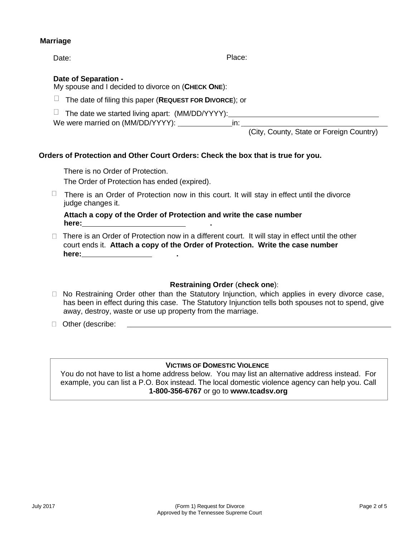#### **Marriage**

Date:

Place:

#### **Date of Separation -**

My spouse and I decided to divorce on (**CHECK ONE**):

The date of filing this paper (**REQUEST FOR DIVORCE**); or

 $\Box$  The date we started living apart: (MM/DD/YYYY):

We were married on (MM/DD/YYYY): in:

(City, County, State or Foreign Country)

#### **Orders of Protection and Other Court Orders: Check the box that is true for you.**

There is no Order of Protection.

The Order of Protection has ended (expired).

 $\Box$  There is an Order of Protection now in this court. It will stay in effect until the divorce judge changes it.

#### **Attach a copy of the Order of Protection and write the case number here: .**

 $\Box$  There is an Order of Protection now in a different court. It will stay in effect until the other court ends it. **Attach a copy of the Order of Protection. Write the case number here: .**

#### **Restraining Order** (**check one**):

- $\Box$  No Restraining Order other than the Statutory Injunction, which applies in every divorce case, has been in effect during this case. The Statutory Injunction tells both spouses not to spend, give away, destroy, waste or use up property from the marriage.
- □ Other (describe:

#### **VICTIMS OF DOMESTIC VIOLENCE**

You do not have to list a home address below. You may list an alternative address instead. For example, you can list a P.O. Box instead. The local domestic violence agency can help you. Call **1-800-356-6767** or go to **[www.tcadsv.org](http://www.tcadsv.org/)**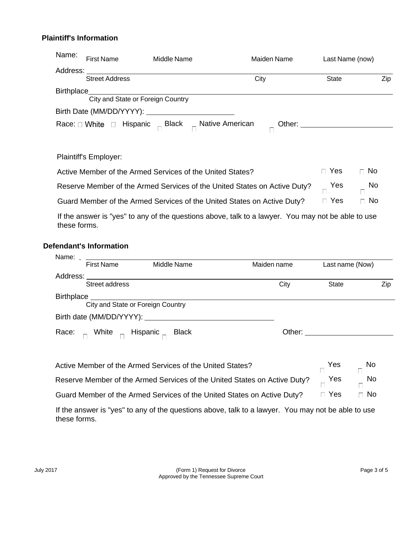# **Plaintiff's Information**

| Name:       | <b>First Name</b>     | Middle Name                                                            | Maiden Name | Last Name (now)            |
|-------------|-----------------------|------------------------------------------------------------------------|-------------|----------------------------|
|             | Address: ____________ |                                                                        |             |                            |
|             | <b>Street Address</b> |                                                                        | City        | Zip<br><b>State</b>        |
| Birthplace_ |                       |                                                                        |             |                            |
|             |                       | City and State or Foreign Country                                      |             |                            |
|             |                       |                                                                        |             |                            |
|             |                       | Race: $\Box$ White $\Box$ Hispanic $\Box$ Black $\Box$ Native American |             | Other: ___________________ |
|             |                       |                                                                        |             |                            |

Plaintiff's Employer:

| Active Member of the Armed Services of the United States?                                                                          | ⊟ Yes ⊡ No |  |
|------------------------------------------------------------------------------------------------------------------------------------|------------|--|
| Reserve Member of the Armed Services of the United States on Active Duty? $\overline{\phantom{a}}$ Yes $\overline{\phantom{a}}$ No |            |  |
| Guard Member of the Armed Services of the United States on Active Duty? $\Box$ Yes $\Box$ No                                       |            |  |

If the answer is "yes" to any of the questions above, talk to a lawyer. You may not be able to use these forms.

#### **Defendant's Information**

|            | <b>First Name</b>                               | Middle Name | Maiden name | Last name (Now)                                                                                                                                                                                                                      |     |
|------------|-------------------------------------------------|-------------|-------------|--------------------------------------------------------------------------------------------------------------------------------------------------------------------------------------------------------------------------------------|-----|
|            |                                                 |             |             |                                                                                                                                                                                                                                      |     |
|            | Street address                                  |             | City        | <b>State</b>                                                                                                                                                                                                                         | Zip |
| Birthplace |                                                 |             |             |                                                                                                                                                                                                                                      |     |
|            | City and State or Foreign Country               |             |             |                                                                                                                                                                                                                                      |     |
|            |                                                 |             |             |                                                                                                                                                                                                                                      |     |
|            | Race: $\Box$ White $\Box$ Hispanic $\Box$ Black |             |             | Other: <u>with the set of the set of the set of the set of the set of the set of the set of the set of the set of the set of the set of the set of the set of the set of the set of the set of the set of the set of the set of </u> |     |

| Active Member of the Armed Services of the United States?                                                      | Yes | No.<br>$\Box$ |
|----------------------------------------------------------------------------------------------------------------|-----|---------------|
| Reserve Member of the Armed Services of the United States on Active Duty? $\overline{a}$ Yes $\overline{a}$ No |     |               |
| Guard Member of the Armed Services of the United States on Active Duty? $\Box$ Yes $\Box$ No                   |     |               |

If the answer is "yes" to any of the questions above, talk to a lawyer. You may not be able to use these forms.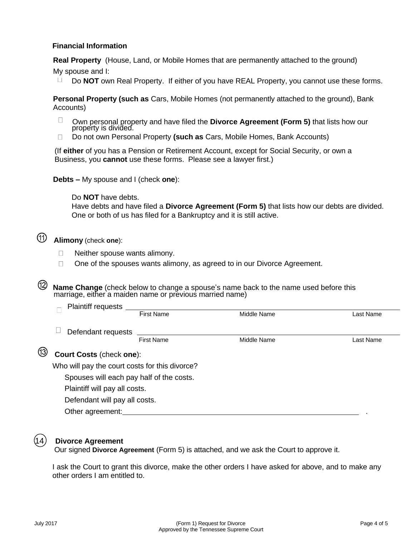#### **Financial Information**

**Real Property** (House, Land, or Mobile Homes that are permanently attached to the ground)

- My spouse and I:
- $\Box$ Do **NOT** own Real Property. If either of you have REAL Property, you cannot use these forms.

**Personal Property (such as** Cars, Mobile Homes (not permanently attached to the ground), Bank Accounts)

- $\Box$  Own personal property and have filed the **Divorce Agreement (Form 5)** that lists how our property is divided.
- Do not own Personal Property **(such as** Cars, Mobile Homes, Bank Accounts)  $\Box$

(If **either** of you has a Pension or Retirement Account, except for Social Security, or own a Business, you **cannot** use these forms. Please see a lawyer first.)

**Debts –** My spouse and I (check **one**):

Do **NOT** have debts.

Have debts and have filed a **Divorce Agreement (Form 5)** that lists how our debts are divided. One or both of us has filed for a Bankruptcy and it is still active.

# **Alimony** (check **one**):

- Neither spouse wants alimony.  $\Box$
- $\Box$ One of the spouses wants alimony, as agreed to in our Divorce Agreement.

 **Name Change** (check below to change a spouse's name back to the name used before this marriage, either`a maiden name or previous married name)

|      | <b>Plaintiff requests</b>                      |                   |             |           |
|------|------------------------------------------------|-------------------|-------------|-----------|
|      |                                                | <b>First Name</b> | Middle Name | Last Name |
|      | Defendant requests                             |                   |             |           |
|      |                                                | <b>First Name</b> | Middle Name | Last Name |
| (13) | Court Costs (check one):                       |                   |             |           |
|      | Who will pay the court costs for this divorce? |                   |             |           |
|      | Spouses will each pay half of the costs.       |                   |             |           |
|      | Plaintiff will pay all costs.                  |                   |             |           |
|      | Defendant will pay all costs.                  |                   |             |           |
|      | Other agreement:                               |                   |             |           |

# 14 **Divorce Agreement**

Our signed **Divorce Agreement** (Form 5) is attached, and we ask the Court to approve it.

I ask the Court to grant this divorce, make the other orders I have asked for above, and to make any other orders I am entitled to.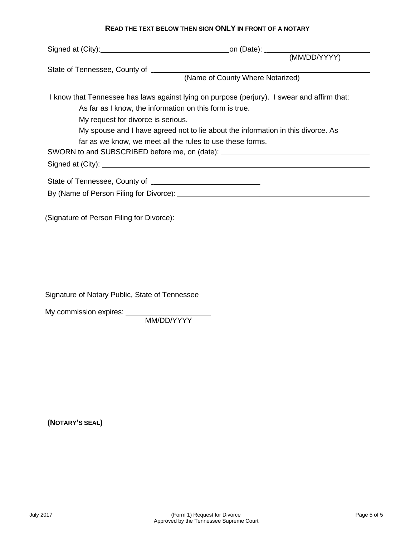#### **READ THE TEXT BELOW THEN SIGN ONLY IN FRONT OF A NOTARY**

|                                                           | Signed at (City): City: City: City: City: City: City: City: City: City: City: City: City: City: City: City: City: City: City: City: City: City: City: City: City: City: City: City: City: City: City: City: City: City: City: |
|-----------------------------------------------------------|-------------------------------------------------------------------------------------------------------------------------------------------------------------------------------------------------------------------------------|
|                                                           |                                                                                                                                                                                                                               |
|                                                           |                                                                                                                                                                                                                               |
|                                                           | (Name of County Where Notarized)                                                                                                                                                                                              |
|                                                           | I know that Tennessee has laws against lying on purpose (perjury). I swear and affirm that:                                                                                                                                   |
| As far as I know, the information on this form is true.   |                                                                                                                                                                                                                               |
| My request for divorce is serious.                        |                                                                                                                                                                                                                               |
|                                                           | My spouse and I have agreed not to lie about the information in this divorce. As                                                                                                                                              |
| far as we know, we meet all the rules to use these forms. |                                                                                                                                                                                                                               |
|                                                           | SWORN to and SUBSCRIBED before me, on (date): __________________________________                                                                                                                                              |
|                                                           |                                                                                                                                                                                                                               |
|                                                           |                                                                                                                                                                                                                               |
|                                                           |                                                                                                                                                                                                                               |
|                                                           |                                                                                                                                                                                                                               |
| (Signature of Person Filing for Divorce):                 |                                                                                                                                                                                                                               |
|                                                           |                                                                                                                                                                                                                               |
|                                                           |                                                                                                                                                                                                                               |
|                                                           |                                                                                                                                                                                                                               |
|                                                           |                                                                                                                                                                                                                               |
|                                                           |                                                                                                                                                                                                                               |
|                                                           |                                                                                                                                                                                                                               |
| Cianoture of Noton: Dublin, Ctate of Tennessee            |                                                                                                                                                                                                                               |

Signature of Notary Public, State of Tennessee

My commission expires:

MM/DD/YYYY

**(NOTARY'S SEAL)**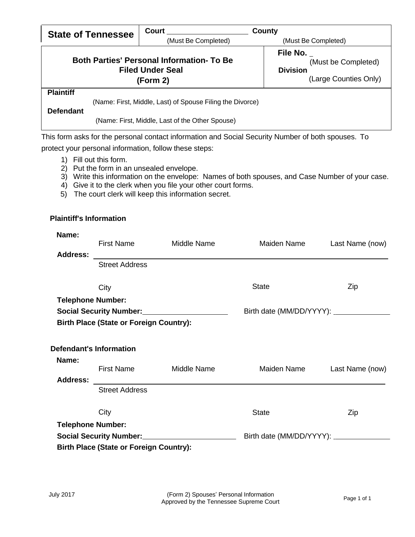| <b>State of Tennessee</b>                                                               |  | Court                                                                                                        | County                                       |                     |
|-----------------------------------------------------------------------------------------|--|--------------------------------------------------------------------------------------------------------------|----------------------------------------------|---------------------|
|                                                                                         |  | (Must Be Completed)                                                                                          |                                              | (Must Be Completed) |
| <b>Both Parties' Personal Information- To Be</b><br><b>Filed Under Seal</b><br>(Form 2) |  | File No. $_{-}$<br><b>Division</b>                                                                           | (Must be Completed)<br>(Large Counties Only) |                     |
| <b>Plaintiff</b><br><b>Defendant</b>                                                    |  | (Name: First, Middle, Last) of Spouse Filing the Divorce)<br>(Name: First, Middle, Last of the Other Spouse) |                                              |                     |

This form asks for the personal contact information and Social Security Number of both spouses. To protect your personal information, follow these steps:

- 1) Fill out this form.
- 2) Put the form in an unsealed envelope.
- 3) Write this information on the envelope: Names of both spouses, and Case Number of your case.
- 4) Give it to the clerk when you file your other court forms.
- 5) The court clerk will keep this information secret.

# **Plaintiff's Information**

| Name:                    |                                                |                                                            |              |                 |
|--------------------------|------------------------------------------------|------------------------------------------------------------|--------------|-----------------|
|                          | <b>First Name</b>                              | Middle Name                                                | Maiden Name  | Last Name (now) |
| <b>Address:</b>          |                                                |                                                            |              |                 |
|                          | <b>Street Address</b>                          |                                                            |              |                 |
|                          |                                                |                                                            |              |                 |
|                          | City                                           |                                                            | <b>State</b> | Zip             |
| <b>Telephone Number:</b> |                                                |                                                            |              |                 |
|                          |                                                |                                                            |              |                 |
|                          | <b>Birth Place (State or Foreign Country):</b> |                                                            |              |                 |
|                          |                                                |                                                            |              |                 |
|                          |                                                |                                                            |              |                 |
|                          | <b>Defendant's Information</b>                 |                                                            |              |                 |
| Name:                    |                                                |                                                            |              |                 |
|                          | <b>First Name</b>                              | Middle Name                                                | Maiden Name  | Last Name (now) |
| Address:                 |                                                |                                                            |              |                 |
|                          | <b>Street Address</b>                          |                                                            |              |                 |
|                          |                                                |                                                            |              |                 |
|                          | City                                           |                                                            | <b>State</b> | Zip             |
| <b>Telephone Number:</b> |                                                |                                                            |              |                 |
|                          |                                                | Social Security Number:<br><u> Social Security Number:</u> |              |                 |
|                          | <b>Birth Place (State or Foreign Country):</b> |                                                            |              |                 |
|                          |                                                |                                                            |              |                 |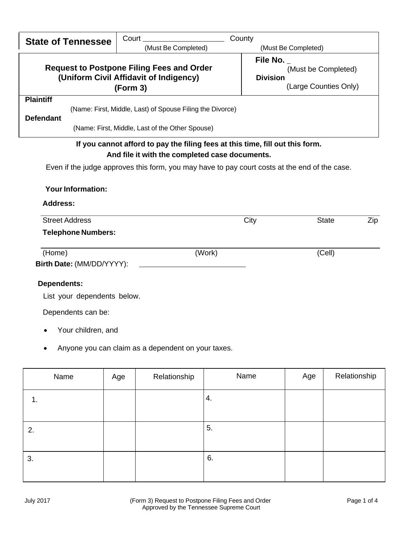| <b>State of Tennessee</b>                         | Court    |                                                                                                                                 | County |                                    |                       |                     |
|---------------------------------------------------|----------|---------------------------------------------------------------------------------------------------------------------------------|--------|------------------------------------|-----------------------|---------------------|
|                                                   |          | (Must Be Completed)                                                                                                             |        |                                    | (Must Be Completed)   |                     |
|                                                   |          | <b>Request to Postpone Filing Fees and Order</b><br>(Uniform Civil Affidavit of Indigency)                                      |        | File No. $_{-}$<br><b>Division</b> | (Must be Completed)   |                     |
|                                                   | (Form 3) |                                                                                                                                 |        |                                    | (Large Counties Only) |                     |
| <b>Plaintiff</b><br><b>Defendant</b>              |          | (Name: First, Middle, Last) of Spouse Filing the Divorce)<br>(Name: First, Middle, Last of the Other Spouse)                    |        |                                    |                       |                     |
|                                                   |          | If you cannot afford to pay the filing fees at this time, fill out this form.<br>And file it with the completed case documents. |        |                                    |                       |                     |
|                                                   |          | Even if the judge approves this form, you may have to pay court costs at the end of the case.                                   |        |                                    |                       |                     |
| <b>Your Information:</b><br><b>Address:</b>       |          |                                                                                                                                 |        |                                    |                       |                     |
| <b>Street Address</b>                             |          |                                                                                                                                 |        | City                               |                       | <b>State</b><br>Zip |
| <b>Telephone Numbers:</b>                         |          |                                                                                                                                 |        |                                    |                       |                     |
| (Home)                                            |          |                                                                                                                                 | (Work) |                                    |                       | (Cell)              |
| Birth Date: (MM/DD/YYYY):                         |          |                                                                                                                                 |        |                                    |                       |                     |
| <b>Dependents:</b><br>List your dependents below. |          |                                                                                                                                 |        |                                    |                       |                     |
| Dependents can be:                                |          |                                                                                                                                 |        |                                    |                       |                     |
| Your children, and                                |          |                                                                                                                                 |        |                                    |                       |                     |
|                                                   |          | Anyone you can claim as a dependent on your taxes.                                                                              |        |                                    |                       |                     |
| Name                                              | Age      | Relationship                                                                                                                    |        | Name                               | Age                   | Relationship        |
| 1.                                                |          |                                                                                                                                 | 4.     |                                    |                       |                     |

|         |  | −. |  |
|---------|--|----|--|
| ◠       |  | O. |  |
| n<br>ာ. |  | 6. |  |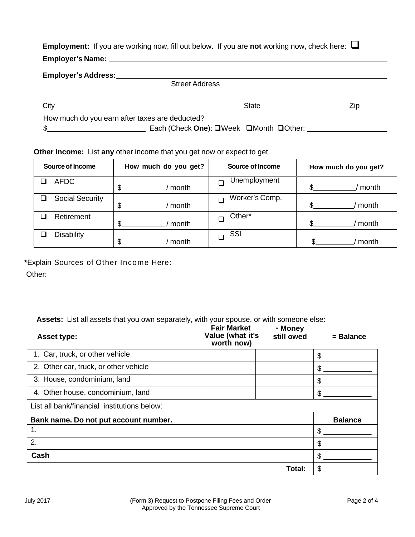**Employment:** If you are working now, fill out below. If you are **not** working now, check here: **Employer's Name:** 

**Employer's Address:** 

Street Address

City **State** 2ip How much do you earn after taxes are deducted? \$ Each (Check **One**): Week Month Other:

# **Other Income:** List **any** other income that you get now or expect to get.

| Source of Income                                   | How much do you get? | Source of Income | How much do you get? |
|----------------------------------------------------|----------------------|------------------|----------------------|
| <b>AFDC</b>                                        | month                | Unemployment     | month                |
| <b>Social Security</b><br>$\overline{\phantom{a}}$ | œ<br>month           | Worker's Comp.   | month                |
| Retirement<br>$\sim$                               | month                | Other*           | month                |
| <b>Disability</b>                                  | month                | SSI              | month                |

**\***Explain Sources of Other Income Here:

Other:

**Assets:** List all assets that you own separately, with your spouse, or with someone else:

| <b>Asset type:</b>                          | <b>Fair Market</b><br>Value (what it's<br>worth now) | - Money<br>still owed | = Balance      |
|---------------------------------------------|------------------------------------------------------|-----------------------|----------------|
| 1. Car, truck, or other vehicle             |                                                      |                       | \$             |
| 2. Other car, truck, or other vehicle       |                                                      |                       | \$             |
| 3. House, condominium, land                 |                                                      |                       | \$             |
| 4. Other house, condominium, land           |                                                      |                       | \$             |
| List all bank/financial institutions below: |                                                      |                       |                |
| Bank name. Do not put account number.       |                                                      |                       | <b>Balance</b> |
| 1.                                          |                                                      |                       | \$             |
| 2.                                          |                                                      |                       | \$             |
| Cash                                        |                                                      |                       | \$             |
|                                             |                                                      | Total:                | \$             |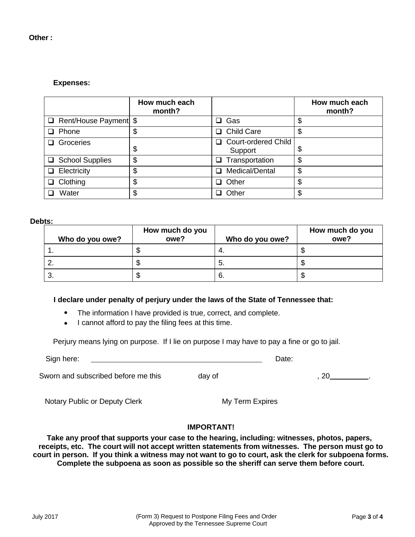#### **Expenses:**

|                               | How much each<br>month? |                                            | How much each<br>month? |
|-------------------------------|-------------------------|--------------------------------------------|-------------------------|
| $\Box$ Rent/House Payment $\$ |                         | Gas<br>□                                   | \$                      |
| Phone                         | \$                      | <b>Child Care</b><br>□                     | \$                      |
| Groceries                     | \$                      | <b>Court-ordered Child</b><br>□<br>Support | \$                      |
| □ School Supplies             | \$                      | $\Box$ Transportation                      | \$                      |
| Electricity<br>❏              | \$                      | Medical/Dental<br>□                        | $\boldsymbol{\theta}$   |
| Clothing                      | \$                      | Other<br>l I                               | \$                      |
| Water                         | \$                      | Other                                      | \$                      |

#### **Debts:**

| Who do you owe? | How much do you<br>owe? | Who do you owe? | How much do you<br>owe? |
|-----------------|-------------------------|-----------------|-------------------------|
|                 |                         |                 |                         |
|                 |                         | э.              |                         |
|                 |                         |                 |                         |

#### **I declare under penalty of perjury under the laws of the State of Tennessee that:**

- The information I have provided is true, correct, and complete.
- I cannot afford to pay the filing fees at this time.

Perjury means lying on purpose. If I lie on purpose I may have to pay a fine or go to jail.

Sign here: Date: Sworn and subscribed before me this day of , 20 .

Notary Public or Deputy Clerk My Term Expires

# **IMPORTANT!**

**Take any proof that supports your case to the hearing, including: witnesses, photos, papers, receipts, etc. The court will not accept written statements from witnesses. The person must go to** court in person. If you think a witness may not want to go to court, ask the clerk for subpoena forms. **Complete the subpoena as soon as possible so the sheriff can serve them before court.**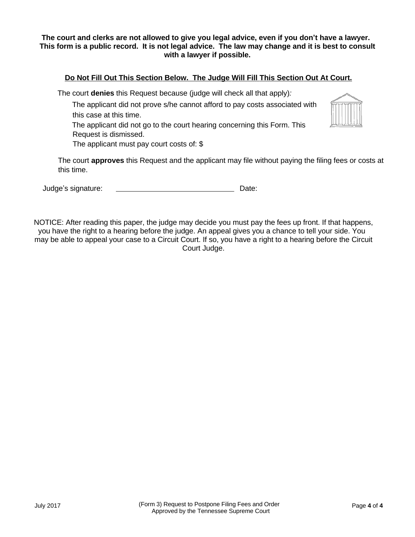The court and clerks are not allowed to give you legal advice, even if you don't have a lawyer. This form is a public record. It is not legal advice. The law may change and it is best to consult **with a lawyer if possible.**

#### **Do Not Fill Out This Section Below. The Judge Will Fill This Section Out At Court.**

The court **denies** this Request because (judge will check all that apply)*:*

The applicant did not prove s/he cannot afford to pay costs associated with this case at this time.

The applicant did not go to the court hearing concerning this Form. This Request is dismissed.

The applicant must pay court costs of: \$

The court **approves** this Request and the applicant may file without paying the filing fees or costs at this time.

Judge's signature: Date:

NOTICE: After reading this paper, the judge may decide you must pay the fees up front. If that happens, you have the right to a hearing before the judge. An appeal gives you a chance to tell your side. You may be able to appeal your case to a Circuit Court. If so, you have a right to a hearing before the Circuit Court Judge.

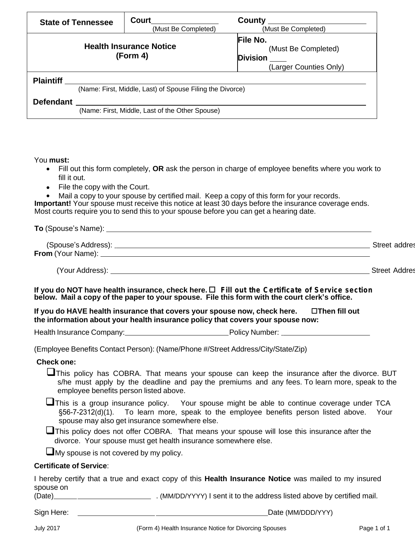| <b>State of Tennessee</b>            | Court<br>(Must Be Completed)                              | County<br>(Must Be Completed)                                                |
|--------------------------------------|-----------------------------------------------------------|------------------------------------------------------------------------------|
|                                      | <b>Health Insurance Notice</b><br>(Form 4)                | File No.<br>(Must Be Completed)<br><b>Division</b><br>(Larger Counties Only) |
| <b>Plaintiff</b><br><b>Defendant</b> | (Name: First, Middle, Last) of Spouse Filing the Divorce) |                                                                              |
|                                      | (Name: First, Middle, Last of the Other Spouse)           |                                                                              |

#### You **must:**

- Fill out this form completely, **OR** ask the person in charge of employee benefits where you work to fill it out.
- File the copy with the Court.
- Mail a copy to your spouse by certified mail. Keep a copy of this form for your records.

**Important!** Your spouse must receive this notice at least 30 days before the insurance coverage ends. Most courts require you to send this to your spouse before you can get a hearing date.

**To** (Spouse's Name):

| Address):<br>spouse's<br>5D)<br>. | -<br>Street | addre |
|-----------------------------------|-------------|-------|
| From<br>Your Name):               |             |       |

(Your Address): Street Address or P.O. Box City Street Address or P.O. Box City Street Address or P.O. Box City Street Address or P.O. Box City Street Address or P.O. Box City Street Address or P.O. Box City Street Address

#### **If you do NOT have health insurance, check here. Fill out the Certificate of Service section** below. Mail a copy of the paper to your spouse. File this form with the court clerk's office.

**If you do HAVE health insurance that covers your spouse now, check here. Then fill out the information about your health insurance policy that covers your spouse now:**

Health Insurance Company: Policy Number:

(Employee Benefits Contact Person): (Name/Phone #/Street Address/City/State/Zip)

#### **Check one:**

**This policy has COBRA.** That means your spouse can keep the insurance after the divorce. BUT s/he must apply by the deadline and pay the premiums and any fees. To learn more, speak to the employee benefits person listed above.

This is <sup>a</sup> group insurance policy. Your spouse might be able to continue coverage under TCA §56-7-2312(d)(1). To learn more, speak to the employee benefits person listed above. Your spouse may also get insurance somewhere else.

This policy does not offer COBRA. That means your spouse will lose this insurance after the divorce. Your spouse must get health insurance somewhere else.

 $\Box$  My spouse is not covered by my policy.

#### **Certificate of Service**:

I hereby certify that a true and exact copy of this **Health Insurance Notice** was mailed to my insured spouse on

(Date) \_\_\_\_\_\_\_\_\_\_\_\_\_\_\_\_\_\_\_\_\_\_\_\_\_\_\_\_\_\_\_\_. (MM/DD/YYYY) I sent it to the address listed above by certified mail.

Sign Here: Date (MM/DDD/YYY)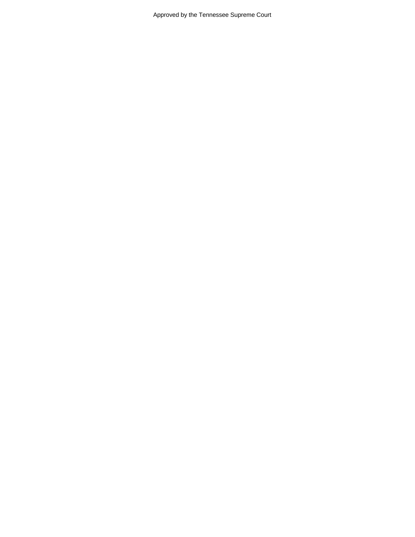Approved by the Tennessee Supreme Court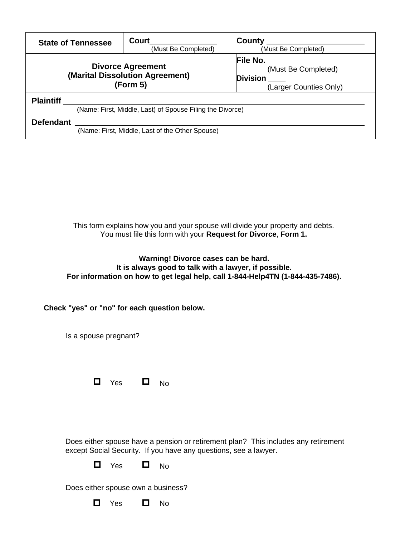| <b>State of Tennessee</b>            | Court<br>(Must Be Completed)                                                                                 | <b>County</b><br>(Must Be Completed)                                         |
|--------------------------------------|--------------------------------------------------------------------------------------------------------------|------------------------------------------------------------------------------|
|                                      | <b>Divorce Agreement</b><br>(Marital Dissolution Agreement)<br>(Form 5)                                      | File No.<br>(Must Be Completed)<br><b>Division</b><br>(Larger Counties Only) |
| <b>Plaintiff</b><br><b>Defendant</b> | (Name: First, Middle, Last) of Spouse Filing the Divorce)<br>(Name: First, Middle, Last of the Other Spouse) |                                                                              |

This form explains how you and your spouse will divide your property and debts. You must file this form with your **Request for Divorce**, **Form 1.**

### **Warning! Divorce cases can be hard. It is always good to talk with a lawyer, if possible. For information on how to get legal help, call 1-844-Help4TN (1-844-435-7486).**

**Check "yes" or "no" for each question below.**

Is a spouse pregnant?

|  | 'es |  | No |
|--|-----|--|----|
|--|-----|--|----|

Does either spouse have a pension or retirement plan? This includes any retirement except Social Security. If you have any questions, see a lawyer.

 $\Box$  Yes  $\Box$  No

Does either spouse own a business?

| N٥ |
|----|
|    |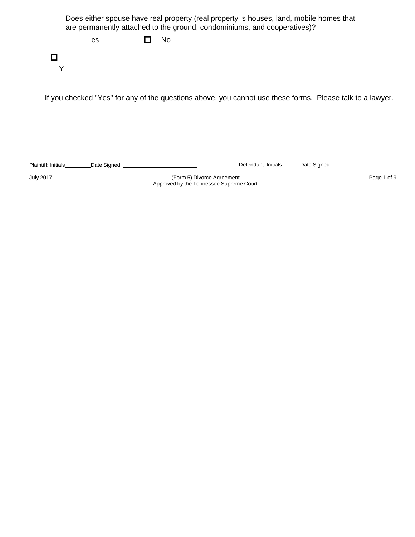Does either spouse have real property (real property is houses, land, mobile homes that are permanently attached to the ground, condominiums, and cooperatives)?  $\Box$ Y es DI No

If you checked "Yes" for any of the questions above, you cannot use these forms. Please talk to a lawyer.

Plaintiff: Initials Date Signed: Defendant: Initials Date Signed:

July 2017 (Form 5) Divorce Agreement Page 1 of 9 Approved by the Tennessee Supreme Court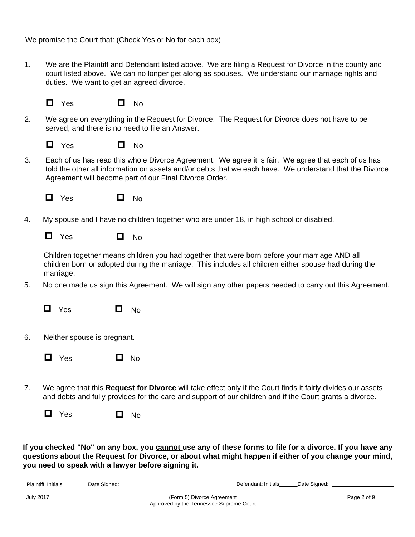We promise the Court that: (Check Yes or No for each box)

1. We are the Plaintiff and Defendant listed above. We are filing a Request for Divorce in the county and court listed above. We can no longer get along as spouses. We understand our marriage rights and duties. We want to get an agreed divorce.



2. We agree on everything in the Request for Divorce. The Request for Divorce does not have to be served, and there is no need to file an Answer.

| No |
|----|
|    |

3. Each of us has read this whole Divorce Agreement. We agree it is fair. We agree that each of us has told the other all information on assets and/or debts that we each have. We understand that the Divorce Agreement will become part of our Final Divorce Order.



4. My spouse and I have no children together who are under 18, in high school or disabled.

| <b>No</b> |
|-----------|
|           |

Children together means children you had together that were born before your marriage AND all children born or adopted during the marriage. This includes all children either spouse had during the marriage.

5. No one made us sign this Agreement. We will sign any other papers needed to carry out this Agreement.

| <b>Yes</b> |  | No |
|------------|--|----|
|------------|--|----|

6. Neither spouse is pregnant.

7. We agree that this **Request for Divorce** will take effect only if the Court finds it fairly divides our assets and debts and fully provides for the care and support of our children and if the Court grants a divorce.

 $\Box$  Yes  $\Box$  No.

If you checked "No" on any box, you cannot use any of these forms to file for a divorce. If you have any questions about the Request for Divorce, or about what might happen if either of you change your mind, **you need to speak with a lawyer before signing it.**

Plaintiff: Initials\_\_\_\_\_\_\_\_Date Signed: \_\_\_\_\_\_\_\_\_\_\_\_\_\_\_\_\_\_\_\_\_\_\_\_\_\_\_\_\_\_\_\_Defendant: Initials\_\_\_\_\_Date Signed: \_

 $\Box$  Yes  $\Box$  No.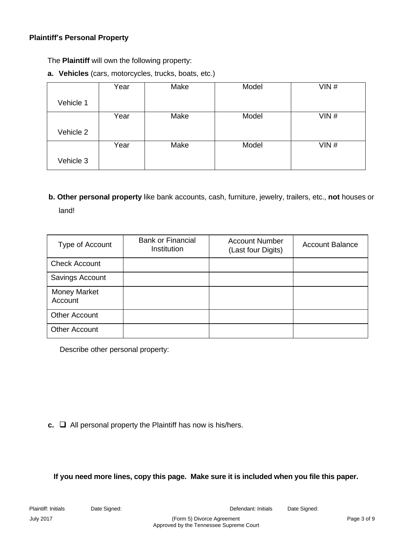# **Plaintiff's Personal Property**

The **Plaintiff** will own the following property:

**a. Vehicles** (cars, motorcycles, trucks, boats, etc.)

|           | Year | Make | Model | VIN# |
|-----------|------|------|-------|------|
| Vehicle 1 |      |      |       |      |
|           | Year | Make | Model | VIN# |
| Vehicle 2 |      |      |       |      |
|           | Year | Make | Model | VIN# |
| Vehicle 3 |      |      |       |      |

# **b. Other personal property** like bank accounts, cash, furniture, jewelry, trailers, etc., **not** houses or land!

| Type of Account                | <b>Bank or Financial</b><br>Institution | <b>Account Number</b><br>(Last four Digits) | <b>Account Balance</b> |
|--------------------------------|-----------------------------------------|---------------------------------------------|------------------------|
| <b>Check Account</b>           |                                         |                                             |                        |
| Savings Account                |                                         |                                             |                        |
| <b>Money Market</b><br>Account |                                         |                                             |                        |
| <b>Other Account</b>           |                                         |                                             |                        |
| <b>Other Account</b>           |                                         |                                             |                        |

Describe other personal property:

**c.** □ All personal property the Plaintiff has now is his/hers.

**If you need more lines, copy this page. Make sure it is included when you file this paper.**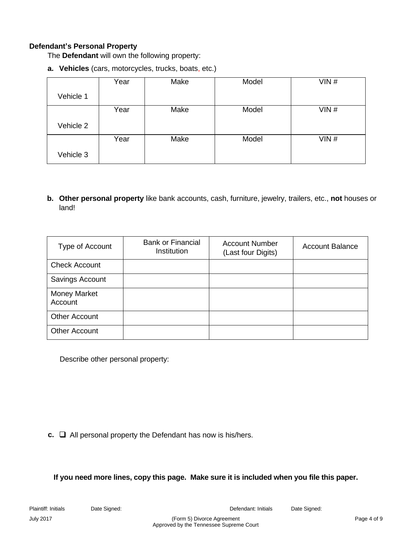# **Defendant's Personal Property**

The **Defendant** will own the following property:

**a. Vehicles** (cars, motorcycles, trucks, boats, etc.)

|           | Year | Make | Model | VIN# |
|-----------|------|------|-------|------|
| Vehicle 1 |      |      |       |      |
|           | Year | Make | Model | VIN# |
| Vehicle 2 |      |      |       |      |
|           | Year | Make | Model | VIN# |
| Vehicle 3 |      |      |       |      |

**b. Other personal property** like bank accounts, cash, furniture, jewelry, trailers, etc., **not** houses or land!

| Type of Account                | <b>Bank or Financial</b><br>Institution | <b>Account Number</b><br>(Last four Digits) | <b>Account Balance</b> |
|--------------------------------|-----------------------------------------|---------------------------------------------|------------------------|
| <b>Check Account</b>           |                                         |                                             |                        |
| Savings Account                |                                         |                                             |                        |
| <b>Money Market</b><br>Account |                                         |                                             |                        |
| <b>Other Account</b>           |                                         |                                             |                        |
| <b>Other Account</b>           |                                         |                                             |                        |

Describe other personal property:

**c.** All personal property the Defendant has now is his/hers.

**If you need more lines, copy this page. Make sure it is included when you file this paper.**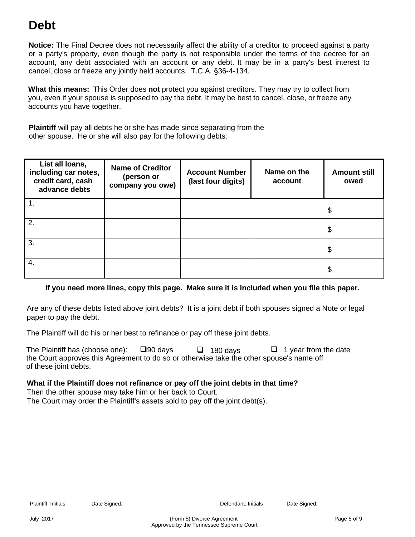# **Debt**

**Notice:** The Final Decree does not necessarily affect the ability of a creditor to proceed against a party or a party's property, even though the party is not responsible under the terms of the decree for an account, any debt associated with an account or any debt. It may be in a party's best interest to cancel, close or freeze any jointly held accounts. T.C.A. §36-4-134.

**What this means:** This Order does **not** protect you against creditors. They may try to collect from you, even if your spouse is supposed to pay the debt. It may be best to cancel, close, or freeze any accounts you have together.

**Plaintiff** will pay all debts he or she has made since separating from the other spouse. He or she will also pay for the following debts:

| List all loans,<br>including car notes,<br>credit card, cash<br>advance debts | <b>Name of Creditor</b><br>(person or<br>company you owe) | <b>Account Number</b><br>(last four digits) | Name on the<br>account | <b>Amount still</b><br>owed |
|-------------------------------------------------------------------------------|-----------------------------------------------------------|---------------------------------------------|------------------------|-----------------------------|
| 1.                                                                            |                                                           |                                             |                        | \$                          |
| 2.                                                                            |                                                           |                                             |                        | \$                          |
| 3.                                                                            |                                                           |                                             |                        | \$                          |
| 4.                                                                            |                                                           |                                             |                        | \$                          |

# **If you need more lines, copy this page. Make sure it is included when you file this paper.**

Are any of these debts listed above joint debts? It is a joint debt if both spouses signed a Note or legal paper to pay the debt.

The Plaintiff will do his or her best to refinance or pay off these joint debts.

The Plaintiff has (choose one):  $\Box$  90 days  $\Box$  180 days  $\Box$  1 year from the date the Court approves this Agreement to do so or otherwise take the other spouse's name off of these joint debts.

#### **What if the Plaintiff does not refinance or pay off the joint debts in that time?**

Then the other spouse may take him or her back to Court. The Court may order the Plaintiff's assets sold to pay off the joint debt(s).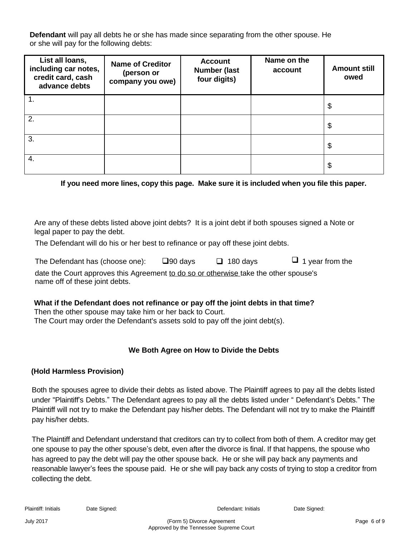**Defendant** will pay all debts he or she has made since separating from the other spouse. He or she will pay for the following debts:

| List all loans,<br>including car notes,<br>credit card, cash<br>advance debts | <b>Name of Creditor</b><br>(person or<br>company you owe) | <b>Account</b><br><b>Number (last</b><br>four digits) | Name on the<br>account | <b>Amount still</b><br>owed |
|-------------------------------------------------------------------------------|-----------------------------------------------------------|-------------------------------------------------------|------------------------|-----------------------------|
|                                                                               |                                                           |                                                       |                        | \$                          |
| 2.                                                                            |                                                           |                                                       |                        | \$                          |
| 3.                                                                            |                                                           |                                                       |                        | \$                          |
| 4.                                                                            |                                                           |                                                       |                        | \$                          |

**If you need more lines, copy this page. Make sure it is included when you file this paper.**

Are any of these debts listed above joint debts? It is a joint debt if both spouses signed a Note or legal paper to pay the debt.

The Defendant will do his or her best to refinance or pay off these joint debts.

The Defendant has (choose one):  $\Box$  90 days  $\Box$  180 days  $\Box$  1 year from the date the Court approves this Agreement to do so or otherwise take the other spouse's

name off of these joint debts.

#### **What if the Defendant does not refinance or pay off the joint debts in that time?**

Then the other spouse may take him or her back to Court.

The Court may order the Defendant's assets sold to pay off the joint debt(s).

#### **We Both Agree on How to Divide the Debts**

#### **(Hold Harmless Provision)**

Both the spouses agree to divide their debts as listed above. The Plaintiff agrees to pay all the debts listed under "Plaintiff's Debts." The Defendant agrees to pay all the debts listed under " Defendant's Debts." The Plaintiff will not try to make the Defendant pay his/her debts. The Defendant will not try to make the Plaintiff pay his/her debts.

The Plaintiff and Defendant understand that creditors can try to collect from both of them. A creditor may get one spouse to pay the other spouse's debt, even after the divorce is final. If that happens, the spouse who has agreed to pay the debt will pay the other spouse back. He or she will pay back any payments and reasonable lawyer's fees the spouse paid. He or she will pay back any costs of trying to stop a creditor from collecting the debt.

Plaintiff: Initials Date Signed: Defendant: Initials Date Signed: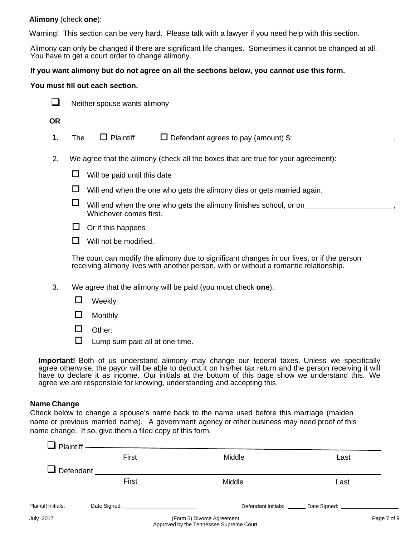# **Alimony** (check **one**):

Warning! This section can be very hard. Please talk with a lawyer if you need help with this section.

Alimony can only be changed if there are significant life changes. Sometimes it cannot be changed at all. You have to get a court order to change alimony.

# **If you want alimony but do not agree on all the sections below, you cannot use this form.**

#### **You must fill out each section.**



 $\Box$  Neither spouse wants alimony

# **OR**

- 1. The  $\Box$  Plaintiff  $\Box$  Defendant agrees to pay (amount) \$:
- 2. We agree that the alimony (check all the boxes that are true for your agreement):
	- $\Box$  Will be paid until this date
	- $\Box$  Will end when the one who gets the alimony dies or gets married again.
	- $\Box$  Will end when the one who gets the alimony finishes school, or on $\Box$ Whichever comes first.
	- $\Box$  Or if this happens
	- $\Box$  Will not be modified.

The court can modify the alimony due to significant changes in our lives, or if the person receiving alimony lives with another person, with or without a romantic relationship.

- 3. We agree that the alimony will be paid (you must check **one**):
	- □ Weekly
	- **D** Monthly
	- $\Box$  Other:
	- $\Box$  Lump sum paid all at one time.

**Important!** Both of us understand alimony may change our federal taxes. Unless we specifically agree otherwise, the payor will be able to deduct it on his/her tax return and the person receiving it will have to declare it as income. Our initials at the bottom of this page show we understand this. We agree we are responsible for knowing, understanding and accepting this.

#### **Name Change**

Check below to change a spouse's name back to the name used before this marriage (maiden name or previous married name). A government agency or other business may need proof of this name change. If so, give them a filed copy of this form.

|                     | $\sum$ Plaintiff $\longrightarrow$                                              |                            |                                                      |      |
|---------------------|---------------------------------------------------------------------------------|----------------------------|------------------------------------------------------|------|
|                     | First                                                                           | Middle                     | Last                                                 |      |
| $\Box$ Defendant    | <u> 1989 - Andrea Andrew Maria (h. 1989).</u><br>1905 - Andrew Maria (h. 1906). |                            |                                                      |      |
|                     | First                                                                           | Middle                     | Last                                                 |      |
| Plaintiff Initials: |                                                                                 |                            | Defendant Initials: ________ Date Signed: __________ |      |
| <b>July 2017</b>    |                                                                                 | (Form 5) Divorce Agreement |                                                      | Page |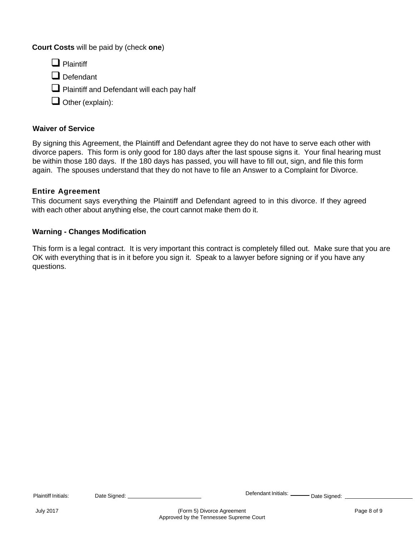**Court Costs** will be paid by (check **one**)

 $\Box$  Plaintiff

Defendant

 $\Box$  Plaintiff and Defendant will each pay half

 $\Box$  Other (explain):

# **Waiver of Service**

By signing this Agreement, the Plaintiff and Defendant agree they do not have to serve each other with divorce papers. This form is only good for 180 days after the last spouse signs it. Your final hearing must be within those 180 days. If the 180 days has passed, you will have to fill out, sign, and file this form again. The spouses understand that they do not have to file an Answer to a Complaint for Divorce.

#### **Entire Agreement**

This document says everything the Plaintiff and Defendant agreed to in this divorce. If they agreed with each other about anything else, the court cannot make them do it.

# **Warning - Changes Modification**

This form is a legal contract. It is very important this contract is completely filled out. Make sure that you are OK with everything that is in it before you sign it. Speak to a lawyer before signing or if you have any questions.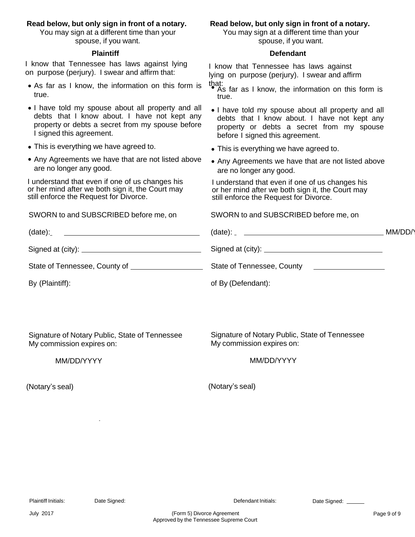## **Read below, but only sign in front of a notary.**

You may sign at a different time than your spouse, if you want.

#### **Plaintiff**

I know that Tennessee has laws against lying on purpose (perjury). I swear and affirm that:

- As far as I know, the information on this form is true.
- I have told my spouse about all property and all debts that I know about. I have not kept any property or debts a secret from my spouse before I signed this agreement.
- This is everything we have agreed to.
- Any Agreements we have that are not listed above are no longer any good.

I understand that even if one of us changes his or her mind after we both sign it, the Court may still enforce the Request for Divorce.

SWORN to and SUBSCRIBED before me, on

(date):

Signed at (city):

State of Tennessee, County of

By (Plaintiff):

#### **Read below, but only sign in front of a notary.**

You may sign at a different time than your spouse, if you want.

#### **Defendant**

I know that Tennessee has laws against lying on purpose (perjury). I swear and affirm

that: As far as I know, the information on this form is true.

- I have told my spouse about all property and all debts that I know about. I have not kept any property or debts a secret from my spouse before I signed this agreement.
- This is everything we have agreed to.
- Any Agreements we have that are not listed above are no longer any good.

I understand that even if one of us changes his or her mind after we both sign it, the Court may still enforce the Request for Divorce.

SWORN to and SUBSCRIBED before me, on

(date): MM/DD/

Signed at (city):

Signature of Notary Public, State of Tennessee

MM/DD/YYYY

State of Tennessee, County

My commission expires on:

of By (Defendant):

Signature of Notary Public, State of Tennessee My commission expires on:

MM/DD/YYYY

(Notary's seal)

(Notary's seal)

Plaintiff Initials: Date Signed: Defendant Initials: Date Signed: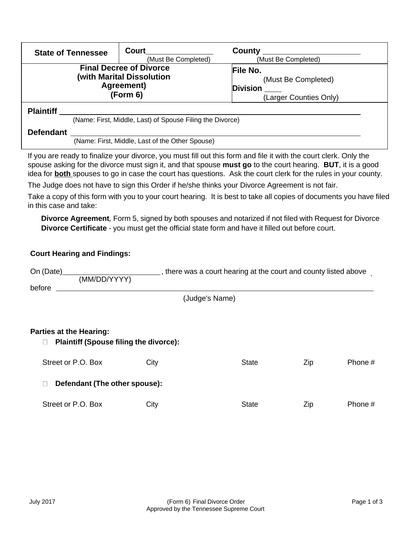| <b>State of Tennessee</b>            | Court<br>(Must Be Completed)                                                          | <b>County</b><br>(Must Be Completed)                                         |
|--------------------------------------|---------------------------------------------------------------------------------------|------------------------------------------------------------------------------|
|                                      | <b>Final Decree of Divorce</b><br>(with Marital Dissolution<br>Agreement)<br>(Form 6) | File No.<br>(Must Be Completed)<br><b>Division</b><br>(Larger Counties Only) |
| <b>Plaintiff</b><br><b>Defendant</b> | (Name: First, Middle, Last) of Spouse Filing the Divorce)                             |                                                                              |
|                                      | (Name: First, Middle, Last of the Other Spouse)                                       |                                                                              |

If you are ready to finalize your divorce, you must fill out this form and file it with the court clerk. Only the spouse asking for the divorce must sign it, and that spouse **must go** to the court hearing. **BUT**, it is a good idea for **both** spouses to go in case the court has questions. Ask the court clerk for the rules in your county.

The Judge does not have to sign this Order if he/she thinks your Divorce Agreement is not fair.

Take a copy of this form with you to your court hearing. It is best to take all copies of documents you have filed in this case and take:

**Divorce Agreement***,* Form 5, signed by both spouses and notarized if not filed with Request for Divorce **Divorce Certificate** - you must get the official state form and have it filled out before court.

#### **Court Hearing and Findings:**

| On (Date)                      |                                        | , there was a court hearing at the court and county listed above |              |     |         |
|--------------------------------|----------------------------------------|------------------------------------------------------------------|--------------|-----|---------|
|                                | (MM/DD/YYYY)                           |                                                                  |              |     |         |
| before                         |                                        |                                                                  |              |     |         |
|                                |                                        | (Judge's Name)                                                   |              |     |         |
|                                |                                        |                                                                  |              |     |         |
| <b>Parties at the Hearing:</b> | Plaintiff (Spouse filing the divorce): |                                                                  |              |     |         |
|                                |                                        |                                                                  |              |     |         |
| Street or P.O. Box             | City                                   |                                                                  | <b>State</b> | Zip | Phone # |
|                                | Defendant (The other spouse):          |                                                                  |              |     |         |
| Street or P.O. Box             | City                                   |                                                                  | <b>State</b> | Zip | Phone # |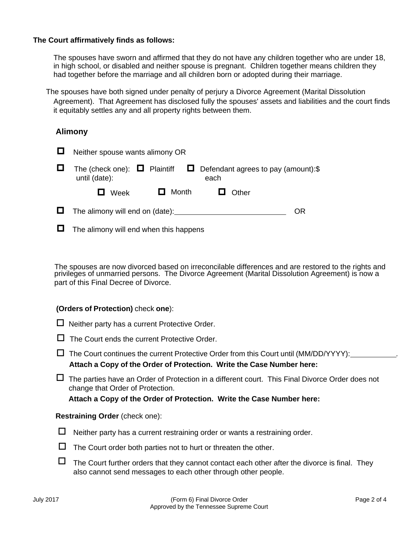#### **The Court affirmatively finds as follows:**

The spouses have sworn and affirmed that they do not have any children together who are under 18, in high school, or disabled and neither spouse is pregnant. Children together means children they had together before the marriage and all children born or adopted during their marriage.

The spouses have both signed under penalty of perjury a Divorce Agreement (Marital Dissolution Agreement). That Agreement has disclosed fully the spouses' assets and liabilities and the court finds it equitably settles any and all property rights between them.

# **Alimony**

| ш | Neither spouse wants alimony OR        |       |                                                                                       |    |  |  |
|---|----------------------------------------|-------|---------------------------------------------------------------------------------------|----|--|--|
|   | until (date):                          |       | The (check one): $\Box$ Plaintiff $\Box$ Defendant agrees to pay (amount): \$<br>each |    |  |  |
|   | Week                                   | Month | Other                                                                                 |    |  |  |
| O | The alimony will end on (date):        |       |                                                                                       | OR |  |  |
| ப | The alimony will end when this happens |       |                                                                                       |    |  |  |

The spouses are now divorced based on irreconcilable differences and are restored to the rights and privileges of unmarried persons. The Divorce Agreement (Marital Dissolution Agreement) is now a part of this Final Decree of Divorce.

#### **(Orders of Protection)** check **one**):

| $\Box$ Neither party has a current Protective Order. |  |
|------------------------------------------------------|--|
|------------------------------------------------------|--|

- $\Box$  The Court ends the current Protective Order.
- The Court continues the current Protective Order from this Court until (MM/DD/YYYY): *.* **Attach a Copy of the Order of Protection. Write the Case Number here:**
- $\Box$  The parties have an Order of Protection in a different court. This Final Divorce Order does not change that Order of Protection.

**Attach a Copy of the Order of Protection. Write the Case Number here:** 

#### **Restraining Order** (check one):

- $\Box$  Neither party has a current restraining order or wants a restraining order.
- $\Box$  The Court order both parties not to hurt or threaten the other.
- $\Box$  The Court further orders that they cannot contact each other after the divorce is final. They also cannot send messages to each other through other people.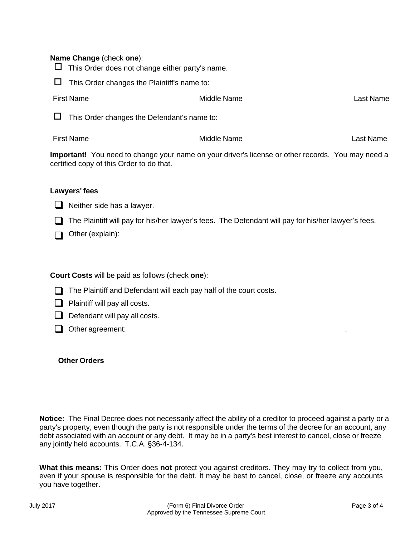#### **Name Change** (check **one**):

 $\Box$  This Order does not change either party's name.

 $\Box$  This Order changes the Plaintiff's name to:

| <b>First Name</b>                                     | Middle Name | Last Name |
|-------------------------------------------------------|-------------|-----------|
| $\Box$<br>This Order changes the Defendant's name to: |             |           |

First Name Middle Name Last Name

**Important!** You need to change your name on your driver's license or other records. You may need a certified copy of this Order to do that.

#### **Lawyers' fees**

Neither side has a lawyer.

The Plaintiff will pay for his/her lawyer's fees. The Defendant will pay for his/her lawyer's fees.

Other (explain):

**Court Costs** will be paid as follows (check **one**):

- The Plaintiff and Defendant will each pay half of the court costs.
- $\Box$  Plaintiff will pay all costs.
- $\Box$  Defendant will pay all costs.
- Other agreement: .

**Other Orders**

**Notice:** The Final Decree does not necessarily affect the ability of a creditor to proceed against a party or a party's property, even though the party is not responsible under the terms of the decree for an account, any debt associated with an account or any debt. It may be in a party's best interest to cancel, close or freeze any jointly held accounts. T.C.A. §36-4-134.

**What this means:** This Order does **not** protect you against creditors. They may try to collect from you, even if your spouse is responsible for the debt. It may be best to cancel, close, or freeze any accounts you have together.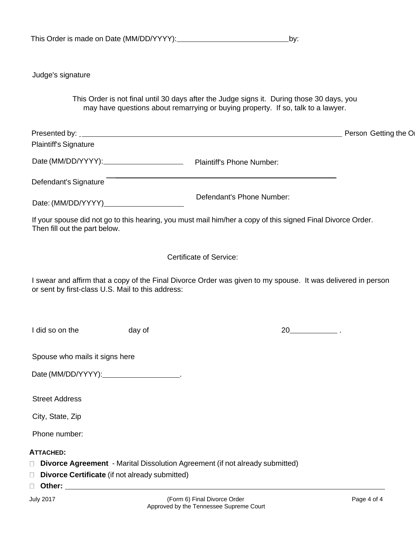|                                |                                                   | by:                                                                                                                                                                                                                           |             |
|--------------------------------|---------------------------------------------------|-------------------------------------------------------------------------------------------------------------------------------------------------------------------------------------------------------------------------------|-------------|
|                                |                                                   |                                                                                                                                                                                                                               |             |
| Judge's signature              |                                                   |                                                                                                                                                                                                                               |             |
|                                |                                                   | This Order is not final until 30 days after the Judge signs it. During those 30 days, you<br>may have questions about remarrying or buying property. If so, talk to a lawyer.                                                 |             |
|                                |                                                   |                                                                                                                                                                                                                               |             |
| <b>Plaintiff's Signature</b>   |                                                   |                                                                                                                                                                                                                               |             |
|                                |                                                   |                                                                                                                                                                                                                               |             |
| Defendant's Signature          |                                                   | the control of the control of the control of the control of the control of the control of the control of the control of the control of the control of the control of the control of the control of the control of the control |             |
|                                |                                                   | Defendant's Phone Number:                                                                                                                                                                                                     |             |
| Then fill out the part below.  |                                                   | If your spouse did not go to this hearing, you must mail him/her a copy of this signed Final Divorce Order.                                                                                                                   |             |
|                                |                                                   | Certificate of Service:                                                                                                                                                                                                       |             |
|                                | or sent by first-class U.S. Mail to this address: | I swear and affirm that a copy of the Final Divorce Order was given to my spouse. It was delivered in person                                                                                                                  |             |
| I did so on the                | day of                                            | $20$ .                                                                                                                                                                                                                        |             |
| Spouse who mails it signs here |                                                   |                                                                                                                                                                                                                               |             |
|                                |                                                   |                                                                                                                                                                                                                               |             |
| <b>Street Address</b>          |                                                   |                                                                                                                                                                                                                               |             |
| City, State, Zip               |                                                   |                                                                                                                                                                                                                               |             |
| Phone number:                  |                                                   |                                                                                                                                                                                                                               |             |
| <b>ATTACHED:</b>               |                                                   | □ Divorce Agreement - Marital Dissolution Agreement (if not already submitted)                                                                                                                                                |             |
|                                | Divorce Certificate (if not already submitted)    |                                                                                                                                                                                                                               |             |
| <b>July 2017</b>               |                                                   | (Form 6) Final Divorce Order                                                                                                                                                                                                  | Page 4 of 4 |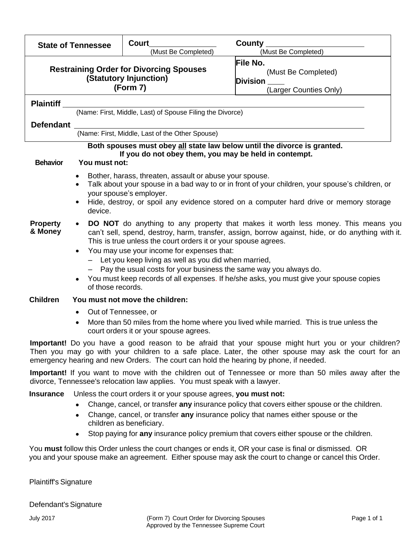|                                                                                      | <b>State of Tennessee</b>                      | <b>Court</b><br>(Must Be Completed)                                                                                                                                                                                                           | County<br>(Must Be Completed)                                                                                                                                                                                                                                                     |
|--------------------------------------------------------------------------------------|------------------------------------------------|-----------------------------------------------------------------------------------------------------------------------------------------------------------------------------------------------------------------------------------------------|-----------------------------------------------------------------------------------------------------------------------------------------------------------------------------------------------------------------------------------------------------------------------------------|
| <b>Restraining Order for Divorcing Spouses</b><br>(Statutory Injunction)<br>(Form 7) |                                                |                                                                                                                                                                                                                                               | File No.<br>(Must Be Completed)<br>Division<br>(Larger Counties Only)                                                                                                                                                                                                             |
| <b>Plaintiff</b>                                                                     |                                                |                                                                                                                                                                                                                                               |                                                                                                                                                                                                                                                                                   |
|                                                                                      |                                                | (Name: First, Middle, Last) of Spouse Filing the Divorce)                                                                                                                                                                                     |                                                                                                                                                                                                                                                                                   |
| <b>Defendant</b>                                                                     |                                                | (Name: First, Middle, Last of the Other Spouse)                                                                                                                                                                                               |                                                                                                                                                                                                                                                                                   |
| <b>Behavior</b>                                                                      | You must not:                                  | If you do not obey them, you may be held in contempt.                                                                                                                                                                                         | Both spouses must obey all state law below until the divorce is granted.                                                                                                                                                                                                          |
|                                                                                      | $\bullet$<br>$\bullet$<br>device.              | Bother, harass, threaten, assault or abuse your spouse.<br>your spouse's employer.                                                                                                                                                            | Talk about your spouse in a bad way to or in front of your children, your spouse's children, or<br>Hide, destroy, or spoil any evidence stored on a computer hard drive or memory storage                                                                                         |
| <b>Property</b><br>& Money                                                           | $\bullet$<br>٠<br>of those records.            | This is true unless the court orders it or your spouse agrees.<br>You may use your income for expenses that:<br>- Let you keep living as well as you did when married,<br>- Pay the usual costs for your business the same way you always do. | DO NOT do anything to any property that makes it worth less money. This means you<br>can't sell, spend, destroy, harm, transfer, assign, borrow against, hide, or do anything with it.<br>You must keep records of all expenses. If he/she asks, you must give your spouse copies |
| <b>Children</b>                                                                      |                                                | You must not move the children:                                                                                                                                                                                                               |                                                                                                                                                                                                                                                                                   |
|                                                                                      | Out of Tennessee, or<br>$\bullet$<br>$\bullet$ | court orders it or your spouse agrees.                                                                                                                                                                                                        | More than 50 miles from the home where you lived while married. This is true unless the                                                                                                                                                                                           |
|                                                                                      |                                                | emergency hearing and new Orders. The court can hold the hearing by phone, if needed.                                                                                                                                                         | Important! Do you have a good reason to be afraid that your spouse might hurt you or your children?<br>Then you may go with your children to a safe place. Later, the other spouse may ask the court for an                                                                       |
|                                                                                      |                                                | divorce, Tennessee's relocation law applies. You must speak with a lawyer.                                                                                                                                                                    | Important! If you want to move with the children out of Tennessee or more than 50 miles away after the                                                                                                                                                                            |
| <b>Insurance</b>                                                                     | $\bullet$<br>$\bullet$<br>$\bullet$            | Unless the court orders it or your spouse agrees, you must not:<br>children as beneficiary.                                                                                                                                                   | Change, cancel, or transfer any insurance policy that covers either spouse or the children.<br>Change, cancel, or transfer any insurance policy that names either spouse or the<br>Stop paying for any insurance policy premium that covers either spouse or the children.        |
|                                                                                      |                                                |                                                                                                                                                                                                                                               | You must follow this Order unless the court changes or ends it, OR your case is final or dismissed. OR<br>you and your spouse make an agreement. Either spouse may ask the court to change or cancel this Order.                                                                  |

Plaintiff's Signature

Defendant's Signature